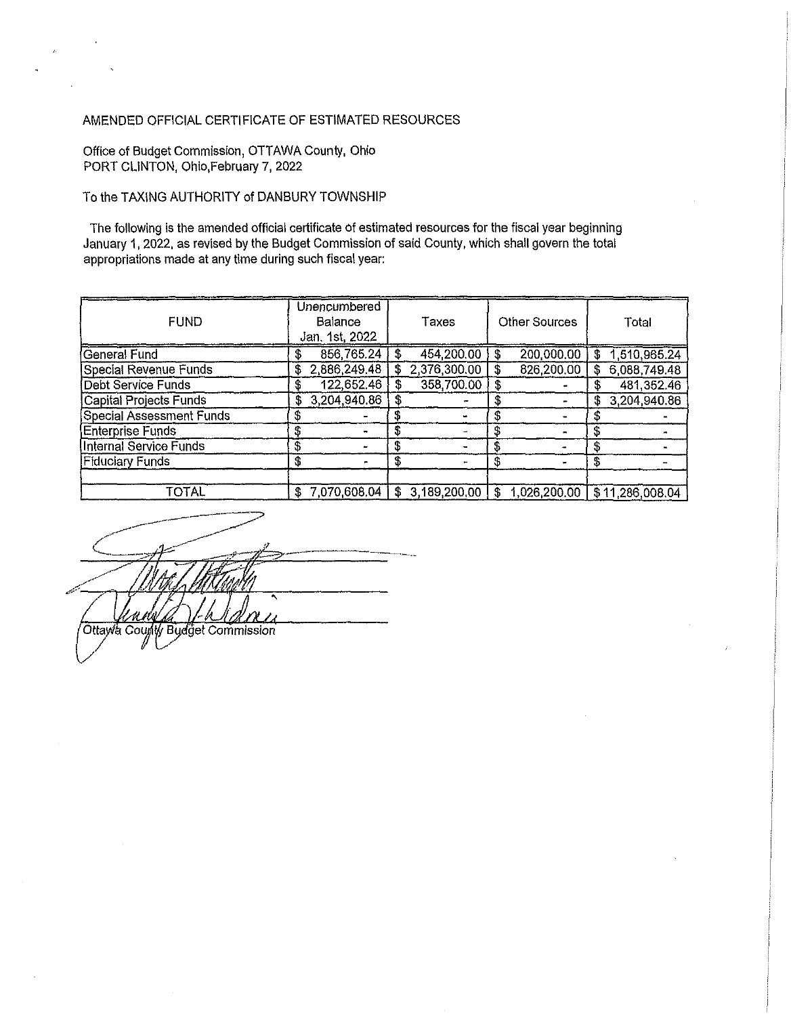## AMENDED OFFICIAL CERTIFICATE OF ESTIMATED RESOURCES

Office of Budget Commission, OTTAWA County, Ohio PORT CLINTON, Ohio, February 7, 2022

## To the TAXING AUTHORITY of DANBURY TOWNSHIP

The following is the amended official certificate of estimated resources for the fiscal year beginning January 1,2022, as revised by the Budget Commission of said County, which shall govern the total appropriations made at any time during such fiscal year:

| <b>FUND</b>                     |    | Unencumbered<br><b>Balance</b><br>Jan, 1st, 2022 |    | Taxes        |    | <b>Other Sources</b> |    | Total           |
|---------------------------------|----|--------------------------------------------------|----|--------------|----|----------------------|----|-----------------|
| General Fund                    | \$ | 856,765.24                                       |    | 454 200.00   | S  | 200,000.00           | \$ | 1,510,965.24    |
| Special Revenue Funds           | \$ | 2,886,249.48                                     | \$ | 2,376,300.00 | S  | 826,200.00           | \$ | 6,088,749.48    |
| <b>Debt Service Funds</b>       | £  | 122,652.46                                       |    | 358,700.00   |    |                      |    | 481,352.46      |
| <b>Capital Projects Funds</b>   | S  | 3,204,940.86                                     |    |              |    |                      | £  | 3,204,940.86    |
| <b>Special Assessment Funds</b> | \$ |                                                  |    |              |    |                      |    |                 |
| <b>Enterprise Funds</b>         | \$ |                                                  | S  |              | S  |                      | \$ |                 |
| Internal Service Funds          | \$ |                                                  |    |              |    |                      | \$ |                 |
| <b>Fiduciary Funds</b>          | \$ |                                                  |    |              | S  |                      | \$ |                 |
| TOTAL                           | £  | 7,070,608,04                                     | \$ | 3.189,200.00 | £. | 1,026,200.00         |    | \$11,286,008.04 |

Ottawa County Budget Commission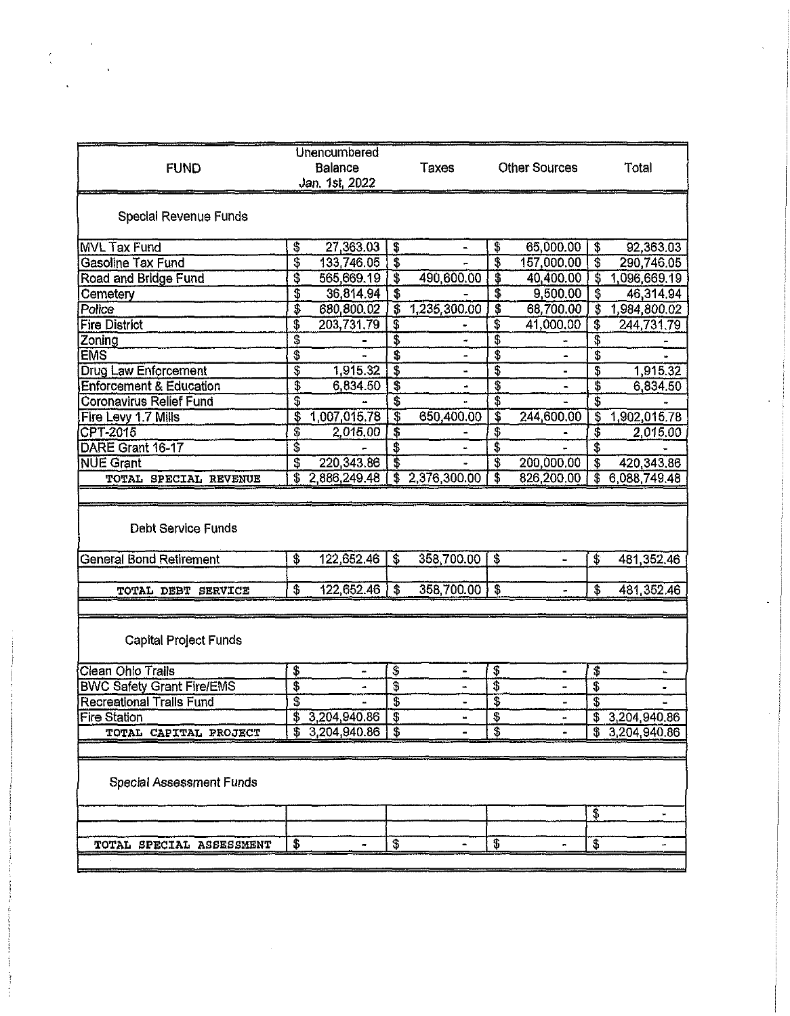| <b>FUND</b>                                                 | <b>Unencumbered</b><br>Balance<br>Jan. 1st, 2022 |                                        | <b>Taxes</b>   | <b>Other Sources</b>    |                | Total                                  |                              |
|-------------------------------------------------------------|--------------------------------------------------|----------------------------------------|----------------|-------------------------|----------------|----------------------------------------|------------------------------|
| Special Revenue Funds                                       |                                                  |                                        |                |                         |                |                                        |                              |
| <b>MVL Tax Fund</b>                                         | \$<br>27,363.03                                  | \$                                     | $\blacksquare$ | \$                      | 65,000.00      | \$                                     | 92,363.03                    |
| <b>Gasoline Tax Fund</b>                                    | \$<br>133,746.05                                 | $\overline{\mathbf{3}}$                |                | \$                      | 157,000.00     | $\overline{\mathbf{3}}$                | 290,746.05                   |
| <b>Road and Bridge Fund</b>                                 | \$<br>565,669.19                                 | $\overline{\boldsymbol{\mathfrak{s}}}$ | 490,600.00     | \$                      | 40,400.00      | T                                      | 1,096,669.19                 |
| Cemetery                                                    | \$<br>36,814.94                                  | $\overline{\mathbf{3}}$                |                | $\overline{\mathbf{3}}$ | 9,500.00       | $\overline{\mathbf{3}}$                | 46,314.94                    |
| Police                                                      | \$<br>680,800.02                                 | $\overline{\$}$                        | 1,235,300.00   | $\overline{\mathbf{3}}$ | 68,700.00      | $\overline{\mathbf{3}}$                | 1,984,800.02                 |
| <b>Fire District</b>                                        | \$<br>203,731.79                                 | $\overline{\mathfrak{s}}$              |                | 3                       | 41,000.00      | $\overline{\$}$                        | 244,731.79                   |
| Zoning                                                      | \$                                               | \$                                     |                | \$                      |                | $\overline{\$}$                        |                              |
| <b>EMS</b>                                                  | \$                                               | \$                                     |                | \$                      |                | \$                                     |                              |
| <b>Drug Law Enforcement</b>                                 | \$<br>1,915.32                                   | $\overline{\$}$                        |                | \$                      |                | \$                                     | 1,915.32                     |
| <b>Enforcement &amp; Education</b>                          | \$<br>6,834.50                                   | $\overline{\$}$                        |                | \$                      |                | \$                                     | 6,834.50                     |
| <b>Coronavirus Relief Fund</b>                              | \$                                               |                                        |                | \$                      |                | \$                                     |                              |
| Fire Levy 1.7 Mills                                         | \$<br>1,007,015.78                               | $\overline{\mathfrak{s}}$              | 650,400.00     | $\overline{\mathbf{S}}$ | 244,600.00     | $\overline{\mathbf{3}}$                | 1,902,015.78                 |
| CPT-2015                                                    | \$<br>2,015.00                                   | $\overline{\boldsymbol{\mathfrak{s}}}$ |                | \$                      |                | $\overline{\boldsymbol{\mathfrak{s}}}$ | 2,015,00                     |
| DARE Grant 16-17                                            | \$                                               | \$                                     |                | \$                      |                | \$                                     |                              |
| <b>NUE Grant</b>                                            | \$<br>220,343.86                                 | T                                      |                | $\overline{\mathbf{3}}$ | 200,000.00     | $\overline{\mathbf{3}}$                | 420,343.86                   |
| TOTAL SPECIAL REVENUE                                       | \$<br>2,886,249.48                               | $\overline{\mathbf{3}}$                | 2,376,300.00   | $\overline{\mathbf{3}}$ | 826,200.00     | Ŧ                                      | 6,088,749.48                 |
| <b>Debt Service Funds</b><br><b>General Bond Retirement</b> | \$<br>122,652.46                                 | $\overline{\mathbf{s}}$                | 358,700.00     | $\mathbf{S}$            | $\blacksquare$ | \$                                     | 481,352.46                   |
| TOTAL DEBT SERVICE                                          | \$<br>122,652.46                                 | \$                                     | 358,700.00     | \$                      | a.             | \$                                     | 481,352.46                   |
| <b>Capital Project Funds</b>                                |                                                  |                                        |                |                         |                |                                        |                              |
| Clean Ohio Trails                                           | \$                                               | \$                                     |                | \$                      |                | \$                                     | $\ddot{}$                    |
| <b>BWC Safety Grant Fire/EMS</b>                            | \$                                               | T                                      |                | \$                      |                | \$                                     |                              |
| <b>Recreational Trails Fund</b>                             | \$                                               | Ŝ                                      |                | $\overline{\mathbf{3}}$ |                | $\overline{\mathcal{E}}$               | ш,                           |
| <b>Fire Station</b>                                         | \$<br>3,204,940.86<br>3,204,940.86               | \$<br>$\overline{\mathbf{s}}$          |                | \$<br>S                 |                | \$                                     | 3,204,940.86<br>3,204,940.86 |
| TOTAL CAPITAL PROJECT                                       |                                                  |                                        |                |                         |                |                                        |                              |
| <b>Special Assessment Funds</b>                             |                                                  |                                        |                |                         |                | \$                                     |                              |
|                                                             |                                                  |                                        |                |                         |                |                                        |                              |
| TOTAL SPECIAL ASSESSMENT                                    | \$                                               | \$                                     |                | \$                      |                | \$                                     |                              |
|                                                             |                                                  |                                        |                |                         |                |                                        |                              |
|                                                             |                                                  |                                        |                |                         |                |                                        |                              |

 $\frac{\epsilon}{\sqrt{2}}$ 

 $\hat{\mathbf{v}}$